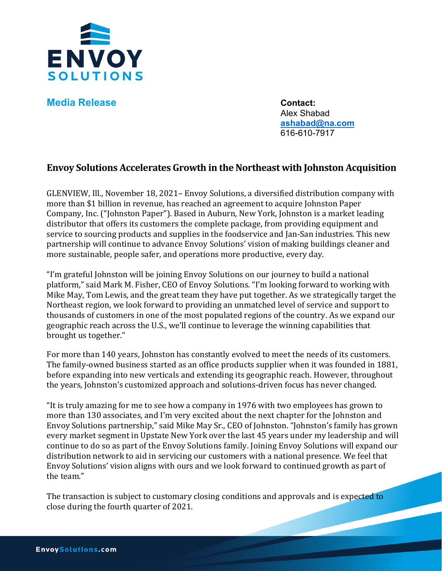

**Media Release Contact:** 

Alex Shabad **[ashabad@na.com](mailto:ashabad@na.com)** 616-610-7917

## **Envoy Solutions Accelerates Growth in the Northeast with Johnston Acquisition**

GLENVIEW, Ill., November 18, 2021– Envoy Solutions, a diversified distribution company with more than \$1 billion in revenue, has reached an agreement to acquire Johnston Paper Company, Inc. ("Johnston Paper"). Based in Auburn, New York, Johnston is a market leading distributor that offers its customers the complete package, from providing equipment and service to sourcing products and supplies in the foodservice and Jan-San industries. This new partnership will continue to advance Envoy Solutions' vision of making buildings cleaner and more sustainable, people safer, and operations more productive, every day.

"I'm grateful Johnston will be joining Envoy Solutions on our journey to build a national platform," said Mark M. Fisher, CEO of Envoy Solutions. "I'm looking forward to working with Mike May, Tom Lewis, and the great team they have put together. As we strategically target the Northeast region, we look forward to providing an unmatched level of service and support to thousands of customers in one of the most populated regions of the country. As we expand our geographic reach across the U.S., we'll continue to leverage the winning capabilities that brought us together."

For more than 140 years, Johnston has constantly evolved to meet the needs of its customers. The family-owned business started as an office products supplier when it was founded in 1881, before expanding into new verticals and extending its geographic reach. However, throughout the years, Johnston's customized approach and solutions-driven focus has never changed.

"It is truly amazing for me to see how a company in 1976 with two employees has grown to more than 130 associates, and I'm very excited about the next chapter for the Johnston and Envoy Solutions partnership," said Mike May Sr., CEO of Johnston. "Johnston's family has grown every market segment in Upstate New York over the last 45 years under my leadership and will continue to do so as part of the Envoy Solutions family. Joining Envoy Solutions will expand our distribution network to aid in servicing our customers with a national presence. We feel that Envoy Solutions' vision aligns with ours and we look forward to continued growth as part of the team."

The transaction is subject to customary closing conditions and approvals and is expected to close during the fourth quarter of 2021.